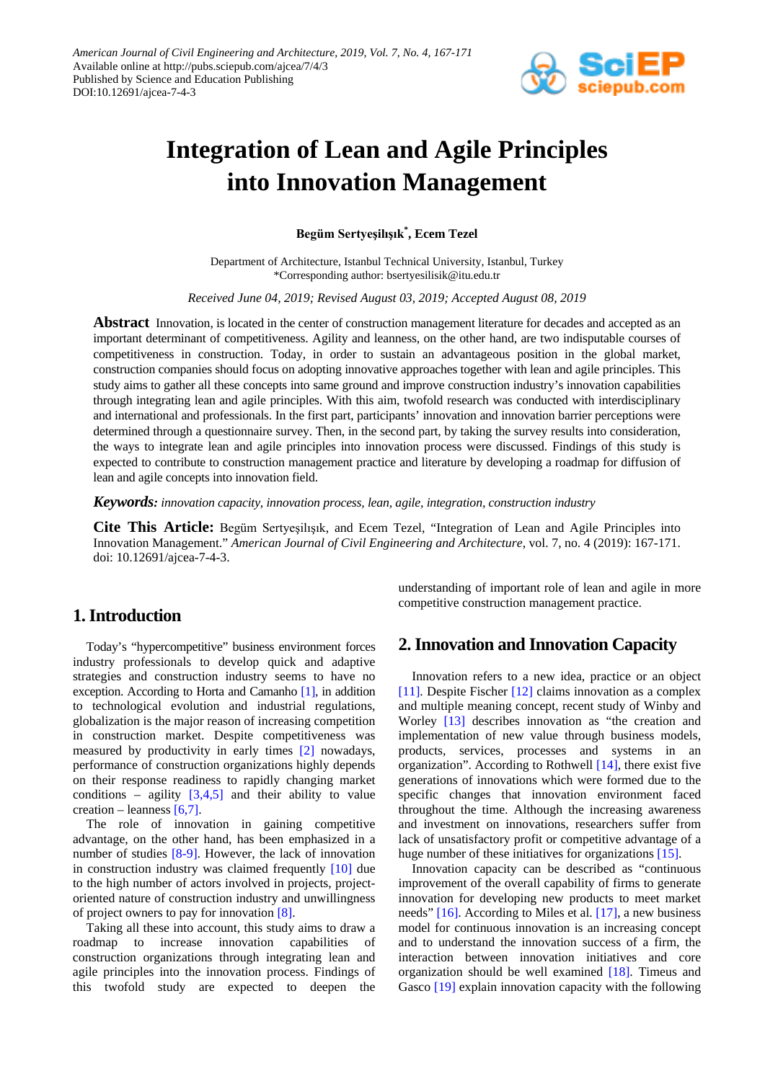

# **Integration of Lean and Agile Principles into Innovation Management**

**Begüm Sertyeşilışık\* , Ecem Tezel**

Department of Architecture, Istanbul Technical University, Istanbul, Turkey \*Corresponding author: bsertyesilisik@itu.edu.tr

*Received June 04, 2019; Revised August 03, 2019; Accepted August 08, 2019*

**Abstract** Innovation, is located in the center of construction management literature for decades and accepted as an important determinant of competitiveness. Agility and leanness, on the other hand, are two indisputable courses of competitiveness in construction. Today, in order to sustain an advantageous position in the global market, construction companies should focus on adopting innovative approaches together with lean and agile principles. This study aims to gather all these concepts into same ground and improve construction industry's innovation capabilities through integrating lean and agile principles. With this aim, twofold research was conducted with interdisciplinary and international and professionals. In the first part, participants' innovation and innovation barrier perceptions were determined through a questionnaire survey. Then, in the second part, by taking the survey results into consideration, the ways to integrate lean and agile principles into innovation process were discussed. Findings of this study is expected to contribute to construction management practice and literature by developing a roadmap for diffusion of lean and agile concepts into innovation field.

*Keywords: innovation capacity, innovation process, lean, agile, integration, construction industry*

**Cite This Article:** Begüm Sertyeşilışık, and Ecem Tezel, "Integration of Lean and Agile Principles into Innovation Management." *American Journal of Civil Engineering and Architecture*, vol. 7, no. 4 (2019): 167-171. doi: 10.12691/ajcea-7-4-3.

## **1. Introduction**

Today's "hypercompetitive" business environment forces industry professionals to develop quick and adaptive strategies and construction industry seems to have no exception. According to Horta and Camanho [\[1\],](#page-4-0) in addition to technological evolution and industrial regulations, globalization is the major reason of increasing competition in construction market. Despite competitiveness was measured by productivity in early times [\[2\]](#page-4-1) nowadays, performance of construction organizations highly depends on their response readiness to rapidly changing market conditions – agility  $[3,4,5]$  and their ability to value creation – leanness [\[6,7\].](#page-4-3)

The role of innovation in gaining competitive advantage, on the other hand, has been emphasized in a number of studies [\[8-9\].](#page-4-4) However, the lack of innovation in construction industry was claimed frequently [\[10\]](#page-4-5) due to the high number of actors involved in projects, projectoriented nature of construction industry and unwillingness of project owners to pay for innovation [\[8\].](#page-4-4)

Taking all these into account, this study aims to draw a roadmap to increase innovation capabilities of construction organizations through integrating lean and agile principles into the innovation process. Findings of this twofold study are expected to deepen the

understanding of important role of lean and agile in more competitive construction management practice.

## **2. Innovation and Innovation Capacity**

Innovation refers to a new idea, practice or an object [\[11\].](#page-4-6) Despite Fischer [\[12\]](#page-4-7) claims innovation as a complex and multiple meaning concept, recent study of Winby and Worley [\[13\]](#page-4-8) describes innovation as "the creation and implementation of new value through business models, products, services, processes and systems in an organization". According to Rothwell [\[14\],](#page-4-9) there exist five generations of innovations which were formed due to the specific changes that innovation environment faced throughout the time. Although the increasing awareness and investment on innovations, researchers suffer from lack of unsatisfactory profit or competitive advantage of a huge number of these initiatives for organization[s \[15\].](#page-4-10)

Innovation capacity can be described as "continuous improvement of the overall capability of firms to generate innovation for developing new products to meet market needs" [\[16\].](#page-4-11) According to Miles et al. [\[17\],](#page-4-12) a new business model for continuous innovation is an increasing concept and to understand the innovation success of a firm, the interaction between innovation initiatives and core organization should be well examined [\[18\].](#page-4-13) Timeus and Gasco [\[19\]](#page-4-14) explain innovation capacity with the following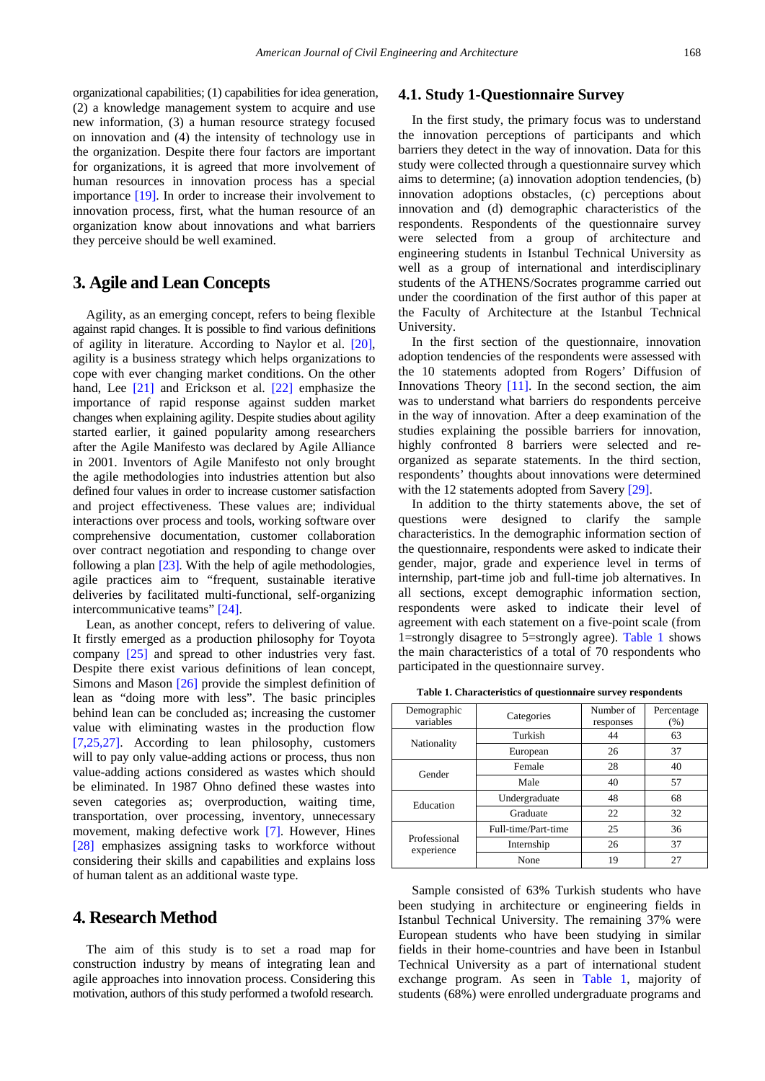organizational capabilities; (1) capabilities for idea generation, (2) a knowledge management system to acquire and use new information, (3) a human resource strategy focused on innovation and (4) the intensity of technology use in the organization. Despite there four factors are important for organizations, it is agreed that more involvement of human resources in innovation process has a special importance [\[19\].](#page-4-14) In order to increase their involvement to innovation process, first, what the human resource of an organization know about innovations and what barriers they perceive should be well examined.

## **3. Agile and Lean Concepts**

Agility, as an emerging concept, refers to being flexible against rapid changes. It is possible to find various definitions of agility in literature. According to Naylor et al. [\[20\],](#page-4-15) agility is a business strategy which helps organizations to cope with ever changing market conditions. On the other hand, Lee [\[21\]](#page-4-16) and Erickson et al. [\[22\]](#page-4-17) emphasize the importance of rapid response against sudden market changes when explaining agility. Despite studies about agility started earlier, it gained popularity among researchers after the Agile Manifesto was declared by Agile Alliance in 2001. Inventors of Agile Manifesto not only brought the agile methodologies into industries attention but also defined four values in order to increase customer satisfaction and project effectiveness. These values are; individual interactions over process and tools, working software over comprehensive documentation, customer collaboration over contract negotiation and responding to change over following a plan [\[23\].](#page-4-18) With the help of agile methodologies, agile practices aim to "frequent, sustainable iterative deliveries by facilitated multi-functional, self-organizing intercommunicative teams" [\[24\].](#page-4-19)

Lean, as another concept, refers to delivering of value. It firstly emerged as a production philosophy for Toyota company [\[25\]](#page-4-20) and spread to other industries very fast. Despite there exist various definitions of lean concept, Simons and Mason [\[26\]](#page-4-21) provide the simplest definition of lean as "doing more with less". The basic principles behind lean can be concluded as; increasing the customer value with eliminating wastes in the production flow [\[7,25,27\].](#page-4-22) According to lean philosophy, customers will to pay only value-adding actions or process, thus non value-adding actions considered as wastes which should be eliminated. In 1987 Ohno defined these wastes into seven categories as; overproduction, waiting time, transportation, over processing, inventory, unnecessary movement, making defective work [\[7\].](#page-4-22) However, Hines [\[28\]](#page-4-23) emphasizes assigning tasks to workforce without considering their skills and capabilities and explains loss of human talent as an additional waste type.

## **4. Research Method**

The aim of this study is to set a road map for construction industry by means of integrating lean and agile approaches into innovation process. Considering this motivation, authors of this study performed a twofold research.

#### **4.1. Study 1-Questionnaire Survey**

In the first study, the primary focus was to understand the innovation perceptions of participants and which barriers they detect in the way of innovation. Data for this study were collected through a questionnaire survey which aims to determine; (a) innovation adoption tendencies, (b) innovation adoptions obstacles, (c) perceptions about innovation and (d) demographic characteristics of the respondents. Respondents of the questionnaire survey were selected from a group of architecture and engineering students in Istanbul Technical University as well as a group of international and interdisciplinary students of the ATHENS/Socrates programme carried out under the coordination of the first author of this paper at the Faculty of Architecture at the Istanbul Technical University.

In the first section of the questionnaire, innovation adoption tendencies of the respondents were assessed with the 10 statements adopted from Rogers' Diffusion of Innovations Theory [\[11\].](#page-4-6) In the second section, the aim was to understand what barriers do respondents perceive in the way of innovation. After a deep examination of the studies explaining the possible barriers for innovation, highly confronted 8 barriers were selected and reorganized as separate statements. In the third section, respondents' thoughts about innovations were determined with the 12 statements adopted from Savery [\[29\].](#page-4-24)

In addition to the thirty statements above, the set of questions were designed to clarify the sample characteristics. In the demographic information section of the questionnaire, respondents were asked to indicate their gender, major, grade and experience level in terms of internship, part-time job and full-time job alternatives. In all sections, except demographic information section, respondents were asked to indicate their level of agreement with each statement on a five-point scale (from 1=strongly disagree to 5=strongly agree). [Table 1](#page-1-0) shows the main characteristics of a total of 70 respondents who participated in the questionnaire survey.

**Table 1. Characteristics of questionnaire survey respondents**

<span id="page-1-0"></span>

| Demographic<br>variables   | Categories          | Number of<br>responses | Percentage<br>(% ) |
|----------------------------|---------------------|------------------------|--------------------|
|                            | Turkish             | 44                     | 63                 |
| Nationality                | European            | 26                     | 37                 |
| Gender                     | Female              | 28                     | 40                 |
|                            | Male                | 40                     | 57                 |
| Education                  | Undergraduate       | 48                     | 68                 |
|                            | Graduate            | 22                     | 32                 |
|                            | Full-time/Part-time | 25                     | 36                 |
| Professional<br>experience | Internship          | 26                     | 37                 |
|                            | None                | 19                     | 27                 |

Sample consisted of 63% Turkish students who have been studying in architecture or engineering fields in Istanbul Technical University. The remaining 37% were European students who have been studying in similar fields in their home-countries and have been in Istanbul Technical University as a part of international student exchange program. As seen in [Table 1,](#page-1-0) majority of students (68%) were enrolled undergraduate programs and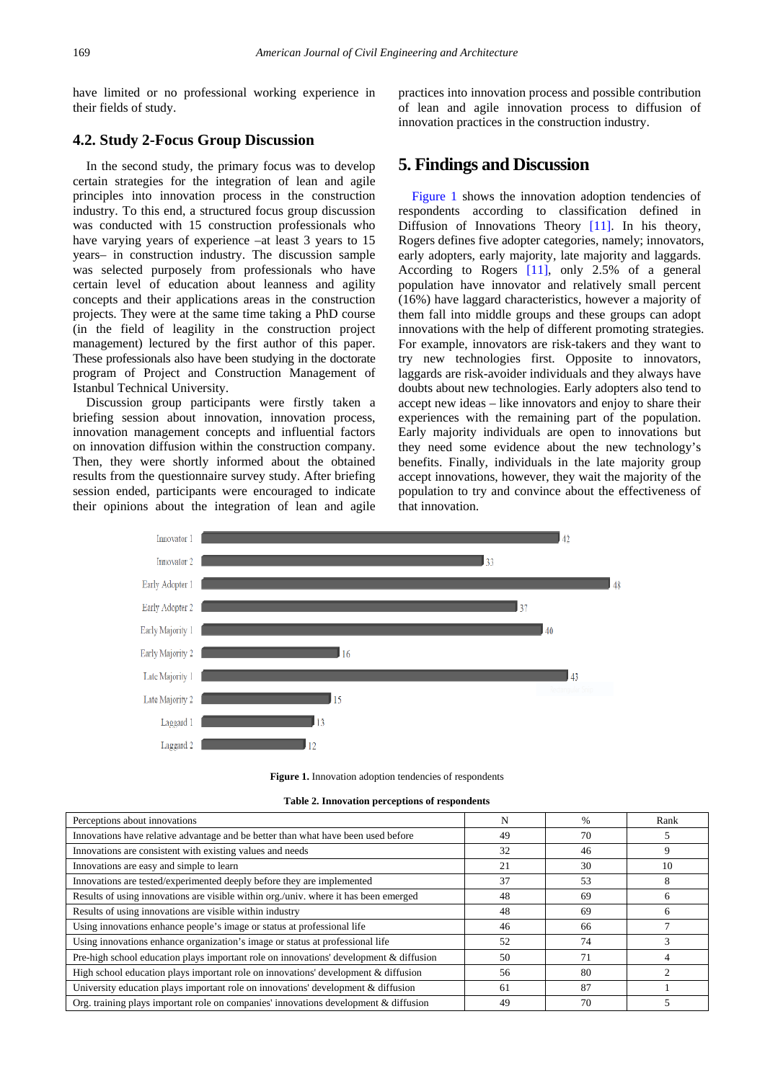have limited or no professional working experience in their fields of study.

#### **4.2. Study 2-Focus Group Discussion**

In the second study, the primary focus was to develop certain strategies for the integration of lean and agile principles into innovation process in the construction industry. To this end, a structured focus group discussion was conducted with 15 construction professionals who have varying years of experience –at least 3 years to 15 years– in construction industry. The discussion sample was selected purposely from professionals who have certain level of education about leanness and agility concepts and their applications areas in the construction projects. They were at the same time taking a PhD course (in the field of leagility in the construction project management) lectured by the first author of this paper. These professionals also have been studying in the doctorate program of Project and Construction Management of Istanbul Technical University.

Discussion group participants were firstly taken a briefing session about innovation, innovation process, innovation management concepts and influential factors on innovation diffusion within the construction company. Then, they were shortly informed about the obtained results from the questionnaire survey study. After briefing session ended, participants were encouraged to indicate their opinions about the integration of lean and agile

practices into innovation process and possible contribution of lean and agile innovation process to diffusion of innovation practices in the construction industry.

### **5. Findings and Discussion**

[Figure 1](#page-2-0) shows the innovation adoption tendencies of respondents according to classification defined in Diffusion of Innovations Theory [\[11\].](#page-4-6) In his theory, Rogers defines five adopter categories, namely; innovators, early adopters, early majority, late majority and laggards. According to Rogers [\[11\],](#page-4-6) only 2.5% of a general population have innovator and relatively small percent (16%) have laggard characteristics, however a majority of them fall into middle groups and these groups can adopt innovations with the help of different promoting strategies. For example, innovators are risk-takers and they want to try new technologies first. Opposite to innovators, laggards are risk-avoider individuals and they always have doubts about new technologies. Early adopters also tend to accept new ideas – like innovators and enjoy to share their experiences with the remaining part of the population. Early majority individuals are open to innovations but they need some evidence about the new technology's benefits. Finally, individuals in the late majority group accept innovations, however, they wait the majority of the population to try and convince about the effectiveness of that innovation.

<span id="page-2-0"></span>

|  |  |  |  | <b>Figure 1.</b> Innovation adoption tendencies of respondents |
|--|--|--|--|----------------------------------------------------------------|
|--|--|--|--|----------------------------------------------------------------|

| Table 2. Innovation perceptions of respondents |  |  |  |
|------------------------------------------------|--|--|--|
|------------------------------------------------|--|--|--|

<span id="page-2-1"></span>

| Perceptions about innovations                                                          |    | $\%$ | Rank |
|----------------------------------------------------------------------------------------|----|------|------|
| Innovations have relative advantage and be better than what have been used before      | 49 | 70   |      |
| Innovations are consistent with existing values and needs                              | 32 | 46   | 9    |
| Innovations are easy and simple to learn                                               | 21 | 30   | 10   |
| Innovations are tested/experimented deeply before they are implemented                 | 37 | 53   | 8    |
| Results of using innovations are visible within org./univ. where it has been emerged   | 48 | 69   | n    |
| Results of using innovations are visible within industry                               | 48 | 69   |      |
| Using innovations enhance people's image or status at professional life                | 46 | 66   |      |
| Using innovations enhance organization's image or status at professional life          | 52 | 74   |      |
| Pre-high school education plays important role on innovations' development & diffusion | 50 | 71   |      |
| High school education plays important role on innovations' development & diffusion     | 56 | 80   |      |
| University education plays important role on innovations' development & diffusion      | 61 | 87   |      |
| Org. training plays important role on companies' innovations development $&$ diffusion | 49 | 70   |      |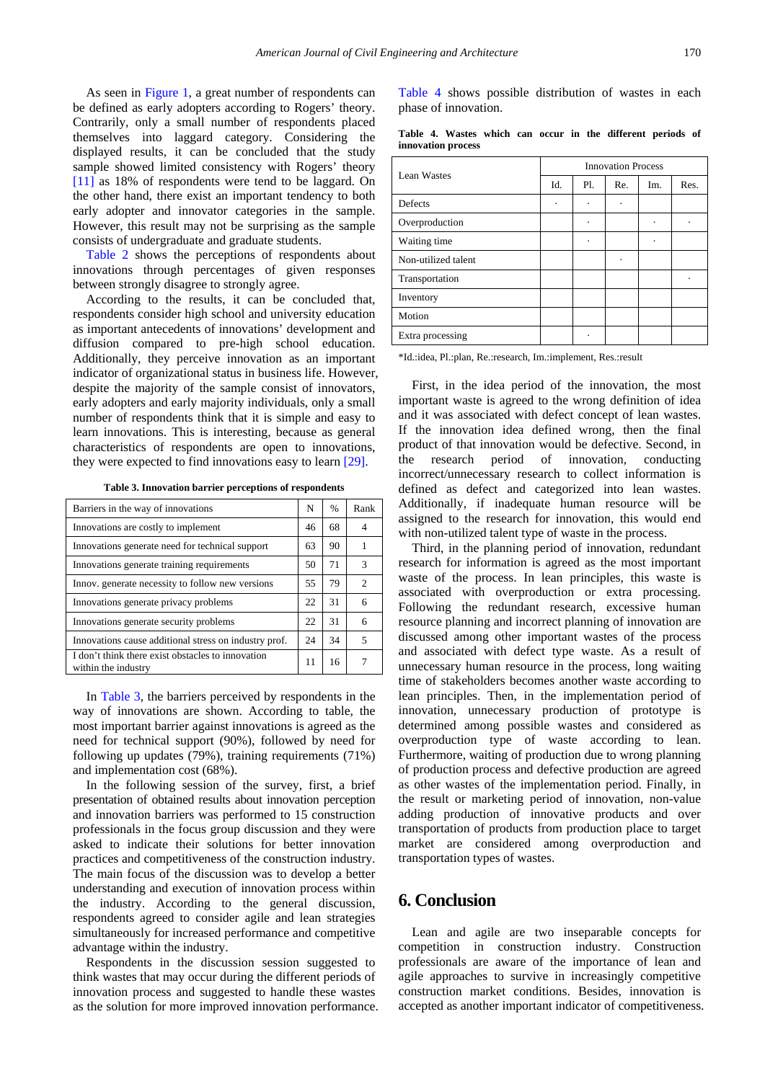As seen in [Figure 1,](#page-2-0) a great number of respondents can be defined as early adopters according to Rogers' theory. Contrarily, only a small number of respondents placed themselves into laggard category. Considering the displayed results, it can be concluded that the study sample showed limited consistency with Rogers' theory [\[11\]](#page-4-6) as 18% of respondents were tend to be laggard. On the other hand, there exist an important tendency to both early adopter and innovator categories in the sample. However, this result may not be surprising as the sample consists of undergraduate and graduate students.

[Table 2](#page-2-1) shows the perceptions of respondents about innovations through percentages of given responses between strongly disagree to strongly agree.

According to the results, it can be concluded that, respondents consider high school and university education as important antecedents of innovations' development and diffusion compared to pre-high school education. Additionally, they perceive innovation as an important indicator of organizational status in business life. However, despite the majority of the sample consist of innovators, early adopters and early majority individuals, only a small number of respondents think that it is simple and easy to learn innovations. This is interesting, because as general characteristics of respondents are open to innovations, they were expected to find innovations easy to lear[n \[29\].](#page-4-24)

**Table 3. Innovation barrier perceptions of respondents**

<span id="page-3-0"></span>

| Barriers in the way of innovations                                       | N  | $\%$ | Rank                          |
|--------------------------------------------------------------------------|----|------|-------------------------------|
| Innovations are costly to implement                                      | 46 | 68   |                               |
| Innovations generate need for technical support                          | 63 | 90   |                               |
| Innovations generate training requirements                               | 50 | 71   | 3                             |
| Innov. generate necessity to follow new versions                         | 55 | 79   | $\mathfrak{D}_{\mathfrak{p}}$ |
| Innovations generate privacy problems                                    | 22 | 31   | 6                             |
| Innovations generate security problems                                   | 22 | 31   | 6                             |
| Innovations cause additional stress on industry prof.                    | 24 | 34   | $\overline{\phantom{1}}$      |
| I don't think there exist obstacles to innovation<br>within the industry | 11 | 16   | 7                             |

In [Table 3,](#page-3-0) the barriers perceived by respondents in the way of innovations are shown. According to table, the most important barrier against innovations is agreed as the need for technical support (90%), followed by need for following up updates (79%), training requirements (71%) and implementation cost (68%).

In the following session of the survey, first, a brief presentation of obtained results about innovation perception and innovation barriers was performed to 15 construction professionals in the focus group discussion and they were asked to indicate their solutions for better innovation practices and competitiveness of the construction industry. The main focus of the discussion was to develop a better understanding and execution of innovation process within the industry. According to the general discussion, respondents agreed to consider agile and lean strategies simultaneously for increased performance and competitive advantage within the industry.

Respondents in the discussion session suggested to think wastes that may occur during the different periods of innovation process and suggested to handle these wastes as the solution for more improved innovation performance. [Table 4](#page-3-1) shows possible distribution of wastes in each phase of innovation.

|  |                    |  |  | Table 4. Wastes which can occur in the different periods of |  |
|--|--------------------|--|--|-------------------------------------------------------------|--|
|  | innovation process |  |  |                                                             |  |

<span id="page-3-1"></span>

| Lean Wastes         | <b>Innovation Process</b> |     |     |     |      |  |  |
|---------------------|---------------------------|-----|-----|-----|------|--|--|
|                     | Id.                       | Pl. | Re. | Im. | Res. |  |  |
| Defects             | ٠                         | ٠   |     |     |      |  |  |
| Overproduction      |                           | ٠   |     |     |      |  |  |
| Waiting time        |                           | ٠   |     |     |      |  |  |
| Non-utilized talent |                           |     |     |     |      |  |  |
| Transportation      |                           |     |     |     |      |  |  |
| Inventory           |                           |     |     |     |      |  |  |
| Motion              |                           |     |     |     |      |  |  |
| Extra processing    |                           | ٠   |     |     |      |  |  |

\*Id.:idea, Pl.:plan, Re.:research, Im.:implement, Res.:result

First, in the idea period of the innovation, the most important waste is agreed to the wrong definition of idea and it was associated with defect concept of lean wastes. If the innovation idea defined wrong, then the final product of that innovation would be defective. Second, in the research period of innovation, conducting incorrect/unnecessary research to collect information is defined as defect and categorized into lean wastes. Additionally, if inadequate human resource will be assigned to the research for innovation, this would end with non-utilized talent type of waste in the process.

Third, in the planning period of innovation, redundant research for information is agreed as the most important waste of the process. In lean principles, this waste is associated with overproduction or extra processing. Following the redundant research, excessive human resource planning and incorrect planning of innovation are discussed among other important wastes of the process and associated with defect type waste. As a result of unnecessary human resource in the process, long waiting time of stakeholders becomes another waste according to lean principles. Then, in the implementation period of innovation, unnecessary production of prototype is determined among possible wastes and considered as overproduction type of waste according to lean. Furthermore, waiting of production due to wrong planning of production process and defective production are agreed as other wastes of the implementation period. Finally, in the result or marketing period of innovation, non-value adding production of innovative products and over transportation of products from production place to target market are considered among overproduction and transportation types of wastes.

# **6. Conclusion**

Lean and agile are two inseparable concepts for competition in construction industry. Construction professionals are aware of the importance of lean and agile approaches to survive in increasingly competitive construction market conditions. Besides, innovation is accepted as another important indicator of competitiveness.